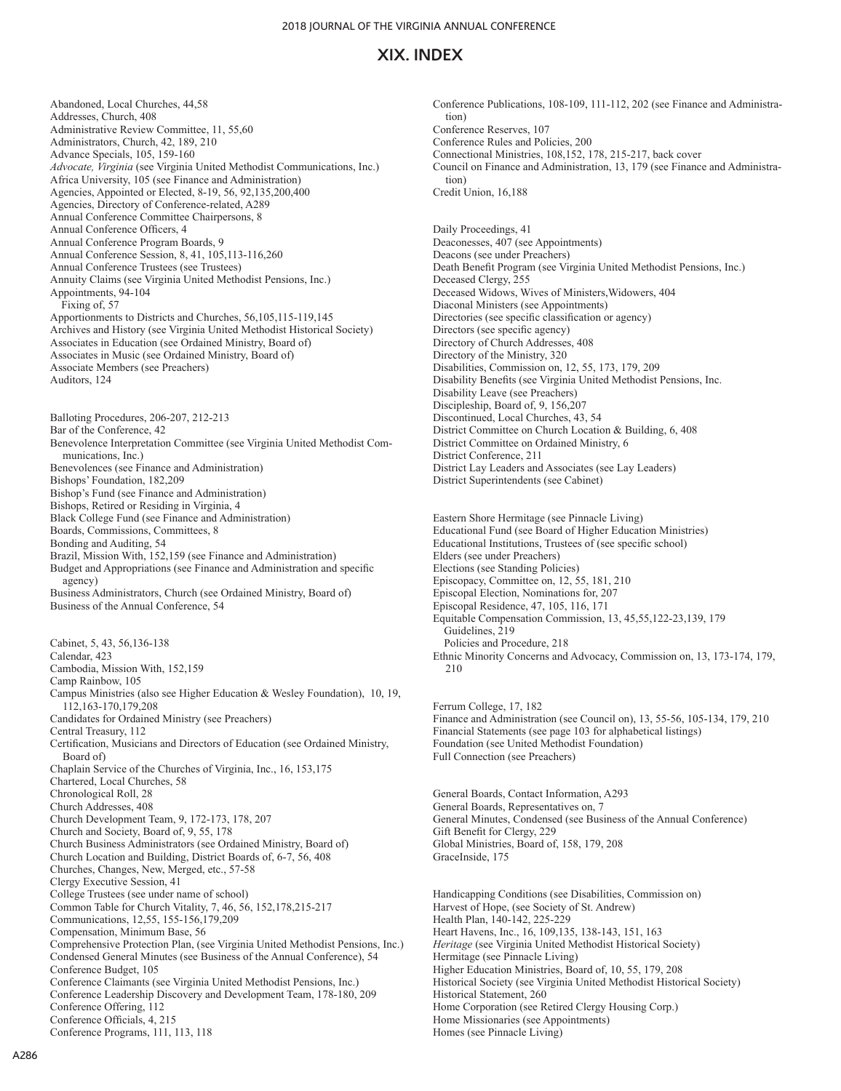Abandoned, Local Churches, 44,58 Addresses, Church, 408 Administrative Review Committee, 11, 55,60 Administrators, Church, 42, 189, 210 Advance Specials, 105, 159-160 *Advocate, Virginia* (see Virginia United Methodist Communications, Inc.) Africa University, 105 (see Finance and Administration) Agencies, Appointed or Elected, 8-19, 56, 92,135,200,400 Agencies, Directory of Conference-related, A289 Annual Conference Committee Chairpersons, 8 Annual Conference Officers, 4 Annual Conference Program Boards, 9 Annual Conference Session, 8, 41, 105,113-116,260 Annual Conference Trustees (see Trustees) Annuity Claims (see Virginia United Methodist Pensions, Inc.) Appointments, 94-104 Fixing of, 57 Apportionments to Districts and Churches, 56,105,115-119,145 Archives and History (see Virginia United Methodist Historical Society) Associates in Education (see Ordained Ministry, Board of) Associates in Music (see Ordained Ministry, Board of) Associate Members (see Preachers) Auditors, 124 Balloting Procedures, 206-207, 212-213 Bar of the Conference, 42 Benevolence Interpretation Committee (see Virginia United Methodist Communications, Inc.) Benevolences (see Finance and Administration) Bishops' Foundation, 182,209 Bishop's Fund (see Finance and Administration) Bishops, Retired or Residing in Virginia, 4 Black College Fund (see Finance and Administration) Boards, Commissions, Committees, 8 Bonding and Auditing, 54 Brazil, Mission With, 152,159 (see Finance and Administration) Budget and Appropriations (see Finance and Administration and specific agency) Business Administrators, Church (see Ordained Ministry, Board of) Business of the Annual Conference, 54 Cabinet, 5, 43, 56,136-138 Calendar, 423 Cambodia, Mission With, 152,159 Camp Rainbow, 105 Campus Ministries (also see Higher Education & Wesley Foundation), 10, 19, 112,163-170,179,208 Candidates for Ordained Ministry (see Preachers) Central Treasury, 112 Certification, Musicians and Directors of Education (see Ordained Ministry, Board of) Chaplain Service of the Churches of Virginia, Inc., 16, 153,175 Chartered, Local Churches, 58 Chronological Roll, 28 Church Addresses, 408 Church Development Team, 9, 172-173, 178, 207 Church and Society, Board of, 9, 55, 178 Church Business Administrators (see Ordained Ministry, Board of) Church Location and Building, District Boards of, 6-7, 56, 408 Churches, Changes, New, Merged, etc., 57-58 Clergy Executive Session, 41 College Trustees (see under name of school) Common Table for Church Vitality, 7, 46, 56, 152,178,215-217 Communications, 12,55, 155-156,179,209 Compensation, Minimum Base, 56 Comprehensive Protection Plan, (see Virginia United Methodist Pensions, Inc.) Condensed General Minutes (see Business of the Annual Conference), 54 Conference Budget, 105 Conference Claimants (see Virginia United Methodist Pensions, Inc.) Conference Leadership Discovery and Development Team, 178-180, 209 Conference Offering, 112

Conference Officials, 4, 215 Conference Programs, 111, 113, 118 Conference Publications, 108-109, 111-112, 202 (see Finance and Administration) Conference Reserves, 107 Conference Rules and Policies, 200 Connectional Ministries, 108,152, 178, 215-217, back cover Council on Finance and Administration, 13, 179 (see Finance and Administration) Credit Union, 16,188

Daily Proceedings, 41 Deaconesses, 407 (see Appointments) Deacons (see under Preachers) Death Benefit Program (see Virginia United Methodist Pensions, Inc.) Deceased Clergy, 255 Deceased Widows, Wives of Ministers,Widowers, 404 Diaconal Ministers (see Appointments) Directories (see specific classification or agency) Directors (see specific agency) Directory of Church Addresses, 408 Directory of the Ministry, 320 Disabilities, Commission on, 12, 55, 173, 179, 209 Disability Benefits (see Virginia United Methodist Pensions, Inc. Disability Leave (see Preachers) Discipleship, Board of, 9, 156,207 Discontinued, Local Churches, 43, 54 District Committee on Church Location & Building, 6, 408 District Committee on Ordained Ministry, 6 District Conference, 211 District Lay Leaders and Associates (see Lay Leaders) District Superintendents (see Cabinet)

Eastern Shore Hermitage (see Pinnacle Living) Educational Fund (see Board of Higher Education Ministries) Educational Institutions, Trustees of (see specific school) Elders (see under Preachers) Elections (see Standing Policies) Episcopacy, Committee on, 12, 55, 181, 210 Episcopal Election, Nominations for, 207 Episcopal Residence, 47, 105, 116, 171 Equitable Compensation Commission, 13, 45,55,122-23,139, 179 Guidelines, 219 Policies and Procedure, 218 Ethnic Minority Concerns and Advocacy, Commission on, 13, 173-174, 179, 210

Ferrum College, 17, 182 Finance and Administration (see Council on), 13, 55-56, 105-134, 179, 210 Financial Statements (see page 103 for alphabetical listings) Foundation (see United Methodist Foundation) Full Connection (see Preachers)

General Boards, Contact Information, A293 General Boards, Representatives on, 7 General Minutes, Condensed (see Business of the Annual Conference) Gift Benefit for Clergy, 229 Global Ministries, Board of, 158, 179, 208 GraceInside, 175

Handicapping Conditions (see Disabilities, Commission on) Harvest of Hope, (see Society of St. Andrew) Health Plan, 140-142, 225-229 Heart Havens, Inc., 16, 109,135, 138-143, 151, 163 *Heritage* (see Virginia United Methodist Historical Society) Hermitage (see Pinnacle Living) Higher Education Ministries, Board of, 10, 55, 179, 208 Historical Society (see Virginia United Methodist Historical Society) Historical Statement, 260 Home Corporation (see Retired Clergy Housing Corp.) Home Missionaries (see Appointments) Homes (see Pinnacle Living)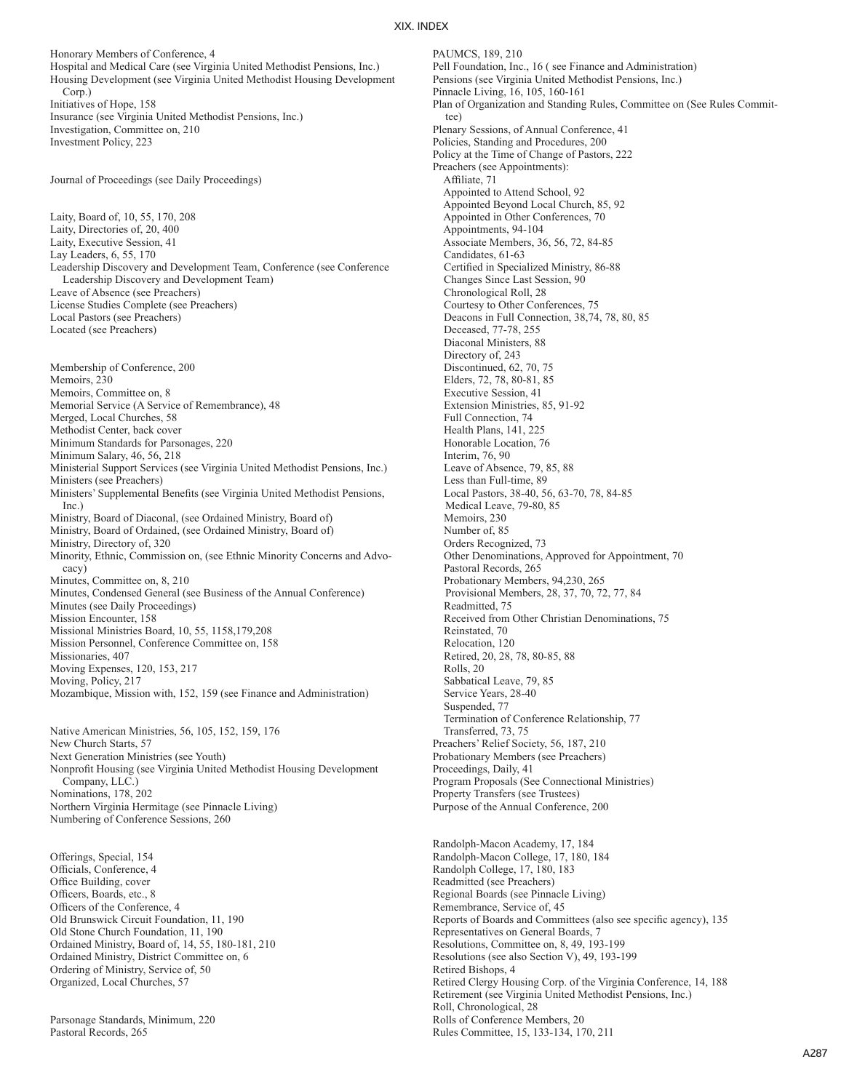PAUMCS, 189, 210

Honorary Members of Conference, 4 Hospital and Medical Care (see Virginia United Methodist Pensions, Inc.) Housing Development (see Virginia United Methodist Housing Development Corp.) Initiatives of Hope, 158 Insurance (see Virginia United Methodist Pensions, Inc.) Investigation, Committee on, 210 Investment Policy, 223

Journal of Proceedings (see Daily Proceedings)

Laity, Board of, 10, 55, 170, 208 Laity, Directories of, 20, 400 Laity, Executive Session, 41 Lay Leaders, 6, 55, 170 Leadership Discovery and Development Team, Conference (see Conference Leadership Discovery and Development Team) Leave of Absence (see Preachers) License Studies Complete (see Preachers) Local Pastors (see Preachers) Located (see Preachers)

Membership of Conference, 200 Memoirs, 230 Memoirs, Committee on, 8 Memorial Service (A Service of Remembrance), 48 Merged, Local Churches, 58 Methodist Center, back cover Minimum Standards for Parsonages, 220 Minimum Salary, 46, 56, 218 Ministerial Support Services (see Virginia United Methodist Pensions, Inc.) Ministers (see Preachers) Ministers' Supplemental Benefits (see Virginia United Methodist Pensions, Inc.) Ministry, Board of Diaconal, (see Ordained Ministry, Board of) Ministry, Board of Ordained, (see Ordained Ministry, Board of) Ministry, Directory of, 320 Minority, Ethnic, Commission on, (see Ethnic Minority Concerns and Advocacy) Minutes, Committee on, 8, 210 Minutes, Condensed General (see Business of the Annual Conference) Minutes (see Daily Proceedings) Mission Encounter, 158 Missional Ministries Board, 10, 55, 1158,179,208 Mission Personnel, Conference Committee on, 158 Missionaries, 407 Moving Expenses, 120, 153, 217 Moving, Policy, 217 Mozambique, Mission with, 152, 159 (see Finance and Administration)

Native American Ministries, 56, 105, 152, 159, 176 New Church Starts, 57 Next Generation Ministries (see Youth) Nonprofit Housing (see Virginia United Methodist Housing Development Company, LLC.) Nominations, 178, 202 Northern Virginia Hermitage (see Pinnacle Living) Numbering of Conference Sessions, 260

Offerings, Special, 154 Officials, Conference, 4 Office Building, cover Officers, Boards, etc., 8 Officers of the Conference, 4 Old Brunswick Circuit Foundation, 11, 190 Old Stone Church Foundation, 11, 190 Ordained Ministry, Board of, 14, 55, 180-181, 210 Ordained Ministry, District Committee on, 6 Ordering of Ministry, Service of, 50 Organized, Local Churches, 57

Parsonage Standards, Minimum, 220 Pastoral Records, 265

Pell Foundation, Inc., 16 ( see Finance and Administration) Pensions (see Virginia United Methodist Pensions, Inc.) Pinnacle Living, 16, 105, 160-161 Plan of Organization and Standing Rules, Committee on (See Rules Committee) Plenary Sessions, of Annual Conference, 41 Policies, Standing and Procedures, 200 Policy at the Time of Change of Pastors, 222 Preachers (see Appointments): Affiliate, 71 Appointed to Attend School, 92 Appointed Beyond Local Church, 85, 92 Appointed in Other Conferences, 70 Appointments, 94-104 Associate Members, 36, 56, 72, 84-85 Candidates, 61-63 Certified in Specialized Ministry, 86-88 Changes Since Last Session, 90 Chronological Roll, 28 Courtesy to Other Conferences, 75 Deacons in Full Connection, 38,74, 78, 80, 85 Deceased, 77-78, 255 Diaconal Ministers, 88 Directory of, 243 Discontinued, 62, 70, 75 Elders, 72, 78, 80-81, 85 Executive Session, 41 Extension Ministries, 85, 91-92 Full Connection, 74 Health Plans, 141, 225 Honorable Location, 76 Interim, 76, 90 Leave of Absence, 79, 85, 88 Less than Full-time, 89 Local Pastors, 38-40, 56, 63-70, 78, 84-85 Medical Leave, 79-80, 85 Memoirs, 230 Number of, 85 Orders Recognized, 73 Other Denominations, Approved for Appointment, 70 Pastoral Records, 265 Probationary Members, 94,230, 265 Provisional Members, 28, 37, 70, 72, 77, 84 Readmitted, 75 Received from Other Christian Denominations, 75 Reinstated, 70 Relocation, 120 Retired, 20, 28, 78, 80-85, 88 Rolls, 20 Sabbatical Leave, 79, 85 Service Years, 28-40 Suspended, 77 Termination of Conference Relationship, 77 Transferred, 73, 75 Preachers' Relief Society, 56, 187, 210 Probationary Members (see Preachers) Proceedings, Daily, 41 Program Proposals (See Connectional Ministries) Property Transfers (see Trustees) Purpose of the Annual Conference, 200

Randolph-Macon Academy, 17, 184 Randolph-Macon College, 17, 180, 184 Randolph College, 17, 180, 183 Readmitted (see Preachers) Regional Boards (see Pinnacle Living) Remembrance, Service of, 45 Reports of Boards and Committees (also see specific agency), 135 Representatives on General Boards, 7 Resolutions, Committee on, 8, 49, 193-199 Resolutions (see also Section V), 49, 193-199 Retired Bishops, 4 Retired Clergy Housing Corp. of the Virginia Conference, 14, 188 Retirement (see Virginia United Methodist Pensions, Inc.) Roll, Chronological, 28 Rolls of Conference Members, 20 Rules Committee, 15, 133-134, 170, 211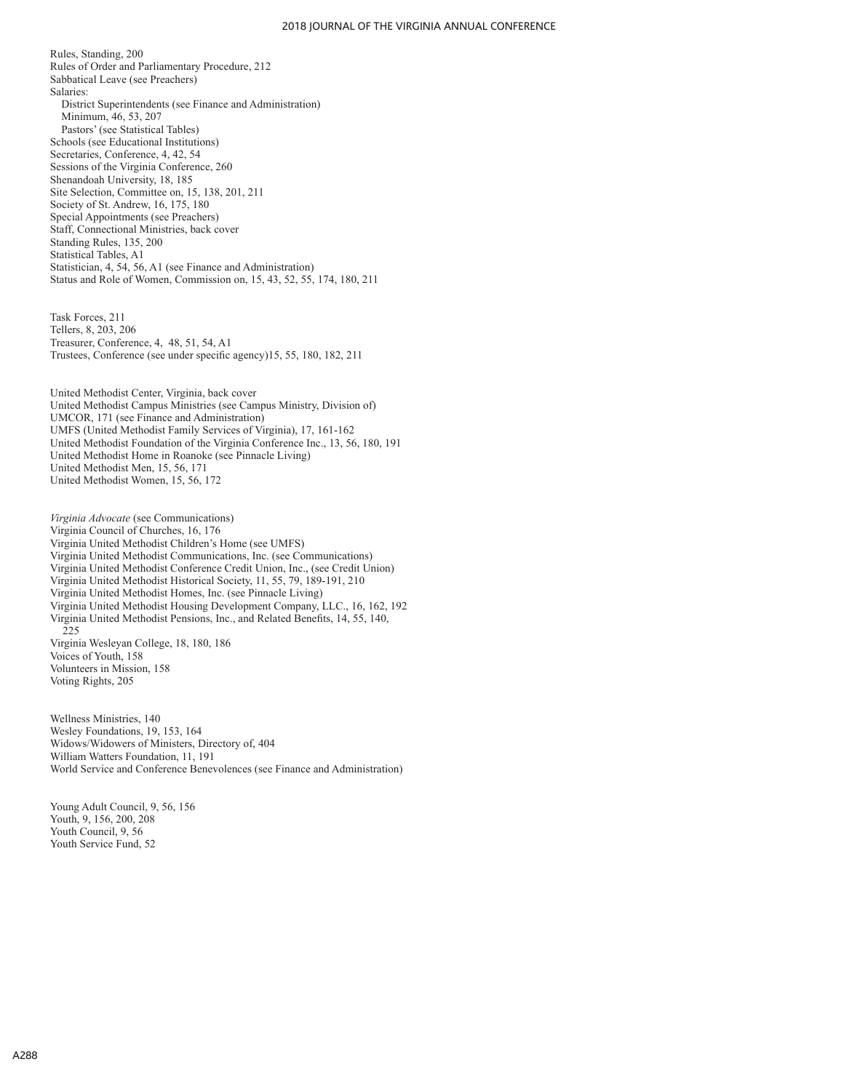#### 2018 JOURNAL OF THE VIRGINIA ANNUAL CONFERENCE

Rules, Standing, 200 Rules of Order and Parliamentary Procedure, 212 Sabbatical Leave (see Preachers) Salaries: District Superintendents (see Finance and Administration) Minimum, 46, 53, 207 Pastors' (see Statistical Tables) Schools (see Educational Institutions) Secretaries, Conference, 4, 42, 54 Sessions of the Virginia Conference, 260 Shenandoah University, 18, 185 Site Selection, Committee on, 15, 138, 201, 211 Society of St. Andrew, 16, 175, 180 Special Appointments (see Preachers) Staff, Connectional Ministries, back cover Standing Rules, 135, 200 Statistical Tables, A1 Statistician, 4, 54, 56, A1 (see Finance and Administration) Status and Role of Women, Commission on, 15, 43, 52, 55, 174, 180, 211

Task Forces, 211 Tellers, 8, 203, 206 Treasurer, Conference, 4, 48, 51, 54, A1 Trustees, Conference (see under specific agency)15, 55, 180, 182, 211

United Methodist Center, Virginia, back cover United Methodist Campus Ministries (see Campus Ministry, Division of) UMCOR, 171 (see Finance and Administration) UMFS (United Methodist Family Services of Virginia), 17, 161-162 United Methodist Foundation of the Virginia Conference Inc., 13, 56, 180, 191 United Methodist Home in Roanoke (see Pinnacle Living) United Methodist Men, 15, 56, 171 United Methodist Women, 15, 56, 172

*Virginia Advocate* (see Communications) Virginia Council of Churches, 16, 176 Virginia United Methodist Children's Home (see UMFS) Virginia United Methodist Communications, Inc. (see Communications) Virginia United Methodist Conference Credit Union, Inc., (see Credit Union) Virginia United Methodist Historical Society, 11, 55, 79, 189-191, 210 Virginia United Methodist Homes, Inc. (see Pinnacle Living) Virginia United Methodist Housing Development Company, LLC., 16, 162, 192 Virginia United Methodist Pensions, Inc., and Related Benefits, 14, 55, 140, 225 Virginia Wesleyan College, 18, 180, 186 Voices of Youth, 158 Volunteers in Mission, 158 Voting Rights, 205

Wellness Ministries, 140 Wesley Foundations, 19, 153, 164 Widows/Widowers of Ministers, Directory of, 404 William Watters Foundation, 11, 191 World Service and Conference Benevolences (see Finance and Administration)

Young Adult Council, 9, 56, 156 Youth, 9, 156, 200, 208 Youth Council, 9, 56 Youth Service Fund, 52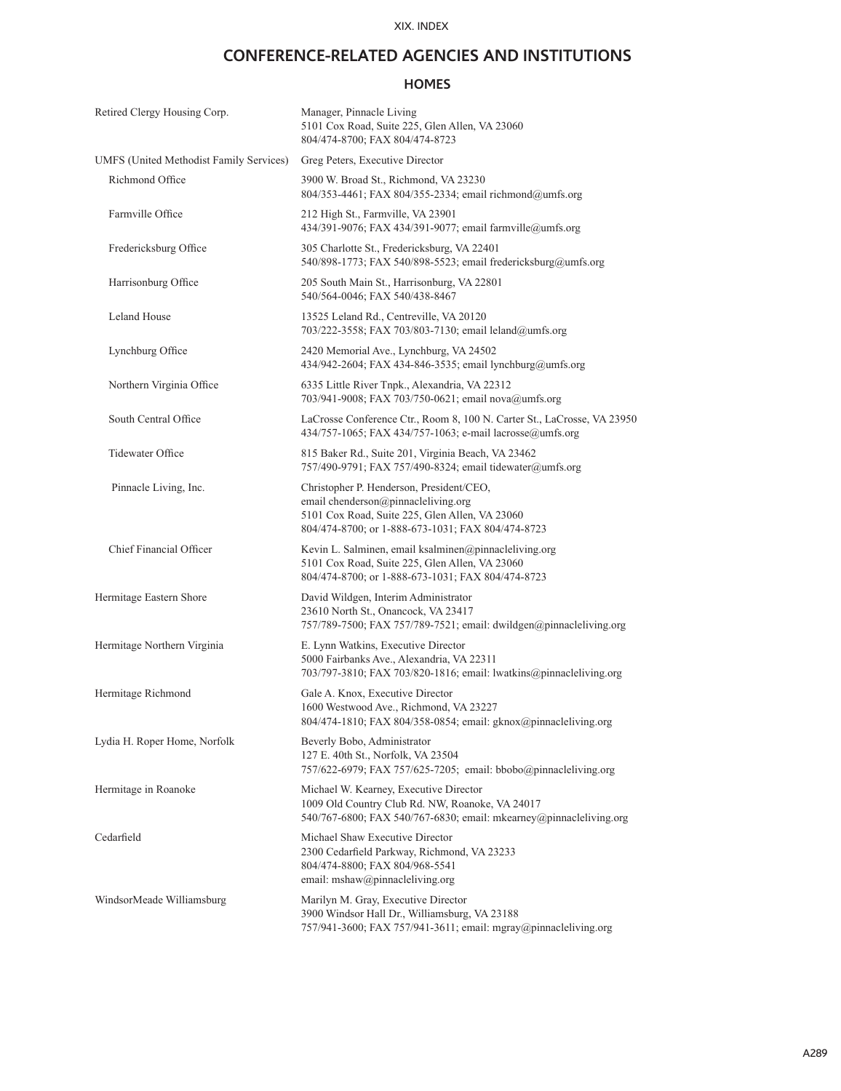### **CONFERENCE-RELATED AGENCIES AND INSTITUTIONS**

### **HOMES**

| Retired Clergy Housing Corp.                   | Manager, Pinnacle Living<br>5101 Cox Road, Suite 225, Glen Allen, VA 23060<br>804/474-8700; FAX 804/474-8723                                                                           |
|------------------------------------------------|----------------------------------------------------------------------------------------------------------------------------------------------------------------------------------------|
| <b>UMFS</b> (United Methodist Family Services) | Greg Peters, Executive Director                                                                                                                                                        |
| Richmond Office                                | 3900 W. Broad St., Richmond, VA 23230<br>804/353-4461; FAX 804/355-2334; email richmond@umfs.org                                                                                       |
| Farmville Office                               | 212 High St., Farmville, VA 23901<br>434/391-9076; FAX 434/391-9077; email farmville@umfs.org                                                                                          |
| Fredericksburg Office                          | 305 Charlotte St., Fredericksburg, VA 22401<br>540/898-1773; FAX 540/898-5523; email fredericksburg@umfs.org                                                                           |
| Harrisonburg Office                            | 205 South Main St., Harrisonburg, VA 22801<br>540/564-0046; FAX 540/438-8467                                                                                                           |
| Leland House                                   | 13525 Leland Rd., Centreville, VA 20120<br>703/222-3558; FAX 703/803-7130; email leland@umfs.org                                                                                       |
| Lynchburg Office                               | 2420 Memorial Ave., Lynchburg, VA 24502<br>434/942-2604; FAX 434-846-3535; email lynchburg@umfs.org                                                                                    |
| Northern Virginia Office                       | 6335 Little River Tnpk., Alexandria, VA 22312<br>703/941-9008; FAX 703/750-0621; email nova@umfs.org                                                                                   |
| South Central Office                           | LaCrosse Conference Ctr., Room 8, 100 N. Carter St., LaCrosse, VA 23950<br>434/757-1065; FAX 434/757-1063; e-mail lacrosse@umfs.org                                                    |
| Tidewater Office                               | 815 Baker Rd., Suite 201, Virginia Beach, VA 23462<br>757/490-9791; FAX 757/490-8324; email tidewater@umfs.org                                                                         |
| Pinnacle Living, Inc.                          | Christopher P. Henderson, President/CEO,<br>email chenderson@pinnacleliving.org<br>5101 Cox Road, Suite 225, Glen Allen, VA 23060<br>804/474-8700; or 1-888-673-1031; FAX 804/474-8723 |
| Chief Financial Officer                        | Kevin L. Salminen, email ksalminen@pinnacleliving.org<br>5101 Cox Road, Suite 225, Glen Allen, VA 23060<br>804/474-8700; or 1-888-673-1031; FAX 804/474-8723                           |
| Hermitage Eastern Shore                        | David Wildgen, Interim Administrator<br>23610 North St., Onancock, VA 23417<br>757/789-7500; FAX 757/789-7521; email: dwildgen@pinnacleliving.org                                      |
| Hermitage Northern Virginia                    | E. Lynn Watkins, Executive Director<br>5000 Fairbanks Ave., Alexandria, VA 22311<br>703/797-3810; FAX 703/820-1816; email: lwatkins@pinnacleliving.org                                 |
| Hermitage Richmond                             | Gale A. Knox, Executive Director<br>1600 Westwood Ave., Richmond, VA 23227<br>804/474-1810; FAX 804/358-0854; email: gknox@pinnacleliving.org                                          |
| Lydia H. Roper Home, Norfolk                   | Beverly Bobo, Administrator<br>127 E. 40th St., Norfolk, VA 23504<br>757/622-6979; FAX 757/625-7205; email: bbobo@pinnacleliving.org                                                   |
| Hermitage in Roanoke                           | Michael W. Kearney, Executive Director<br>1009 Old Country Club Rd. NW, Roanoke, VA 24017<br>540/767-6800; FAX 540/767-6830; email: mkearney@pinnacleliving.org                        |
| Cedarfield                                     | Michael Shaw Executive Director<br>2300 Cedarfield Parkway, Richmond, VA 23233<br>804/474-8800; FAX 804/968-5541<br>email: mshaw@pinnacleliving.org                                    |
| WindsorMeade Williamsburg                      | Marilyn M. Gray, Executive Director<br>3900 Windsor Hall Dr., Williamsburg, VA 23188<br>757/941-3600; FAX 757/941-3611; email: mgray@pinnacleliving.org                                |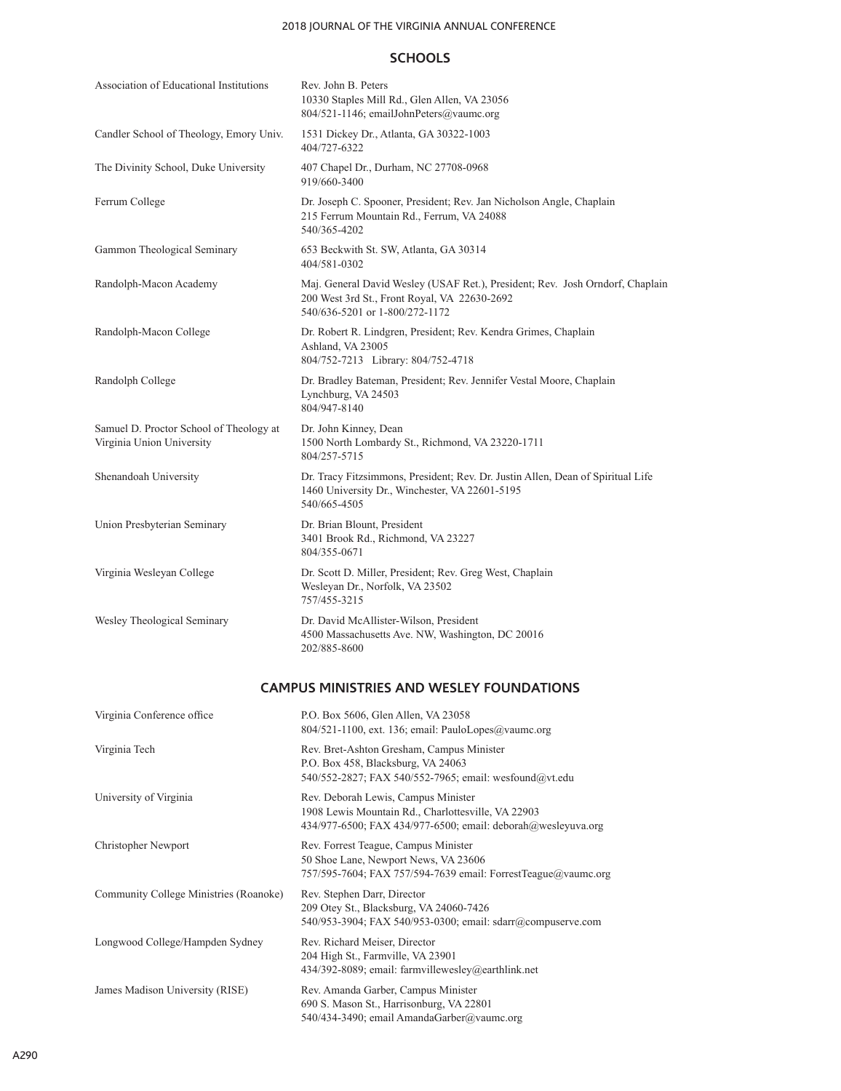### 2018 JOURNAL OF THE VIRGINIA ANNUAL CONFERENCE

### **SCHOOLS**

| Association of Educational Institutions                              | Rev. John B. Peters<br>10330 Staples Mill Rd., Glen Allen, VA 23056<br>804/521-1146; emailJohnPeters@vaumc.org                                                  |
|----------------------------------------------------------------------|-----------------------------------------------------------------------------------------------------------------------------------------------------------------|
| Candler School of Theology, Emory Univ.                              | 1531 Dickey Dr., Atlanta, GA 30322-1003<br>404/727-6322                                                                                                         |
| The Divinity School, Duke University                                 | 407 Chapel Dr., Durham, NC 27708-0968<br>919/660-3400                                                                                                           |
| Ferrum College                                                       | Dr. Joseph C. Spooner, President; Rev. Jan Nicholson Angle, Chaplain<br>215 Ferrum Mountain Rd., Ferrum, VA 24088<br>540/365-4202                               |
| Gammon Theological Seminary                                          | 653 Beckwith St. SW, Atlanta, GA 30314<br>404/581-0302                                                                                                          |
| Randolph-Macon Academy                                               | Maj. General David Wesley (USAF Ret.), President; Rev. Josh Orndorf, Chaplain<br>200 West 3rd St., Front Royal, VA 22630-2692<br>540/636-5201 or 1-800/272-1172 |
| Randolph-Macon College                                               | Dr. Robert R. Lindgren, President; Rev. Kendra Grimes, Chaplain<br>Ashland, VA 23005<br>804/752-7213 Library: 804/752-4718                                      |
| Randolph College                                                     | Dr. Bradley Bateman, President; Rev. Jennifer Vestal Moore, Chaplain<br>Lynchburg, VA 24503<br>804/947-8140                                                     |
| Samuel D. Proctor School of Theology at<br>Virginia Union University | Dr. John Kinney, Dean<br>1500 North Lombardy St., Richmond, VA 23220-1711<br>804/257-5715                                                                       |
| Shenandoah University                                                | Dr. Tracy Fitzsimmons, President; Rev. Dr. Justin Allen, Dean of Spiritual Life<br>1460 University Dr., Winchester, VA 22601-5195<br>540/665-4505               |
| Union Presbyterian Seminary                                          | Dr. Brian Blount, President<br>3401 Brook Rd., Richmond, VA 23227<br>804/355-0671                                                                               |
| Virginia Wesleyan College                                            | Dr. Scott D. Miller, President; Rev. Greg West, Chaplain<br>Wesleyan Dr., Norfolk, VA 23502<br>757/455-3215                                                     |
| Wesley Theological Seminary                                          | Dr. David McAllister-Wilson, President<br>4500 Massachusetts Ave. NW, Washington, DC 20016<br>202/885-8600                                                      |
|                                                                      | <b>CAMPUS MINISTRIES AND WESLEY FOUNDATIONS</b>                                                                                                                 |
| Virginia Conference office                                           | P.O. Box 5606, Glen Allen, VA 23058<br>804/521-1100, ext. 136; email: PauloLopes@vaumc.org                                                                      |
| Virginia Tech                                                        | Rev. Bret-Ashton Gresham, Campus Minister<br>P.O. Box 458, Blacksburg, VA 24063<br>540/552-2827; FAX 540/552-7965; email: wesfound@vt.edu                       |
| University of Virginia                                               | Rev. Deborah Lewis, Campus Minister<br>1908 Lewis Mountain Rd., Charlottesville, VA 22903<br>434/977-6500; FAX 434/977-6500; email: deborah@wesleyuva.org       |
| Christopher Newport                                                  | Rev. Forrest Teague, Campus Minister<br>50 Shoe Lane, Newport News, VA 23606<br>757/595-7604; FAX 757/594-7639 email: ForrestTeague@vaumc.org                   |
| Community College Ministries (Roanoke)                               | Rev. Stephen Darr, Director<br>209 Otey St., Blacksburg, VA 24060-7426<br>540/953-3904; FAX 540/953-0300; email: sdarr@compuserve.com                           |
| Longwood College/Hampden Sydney                                      | Rev. Richard Meiser, Director<br>204 High St., Farmville, VA 23901<br>434/392-8089; email: farmvillewesley@earthlink.net                                        |
| James Madison University (RISE)                                      | Rev. Amanda Garber, Campus Minister<br>690 S. Mason St., Harrisonburg, VA 22801<br>540/434-3490; email AmandaGarber@vaumc.org                                   |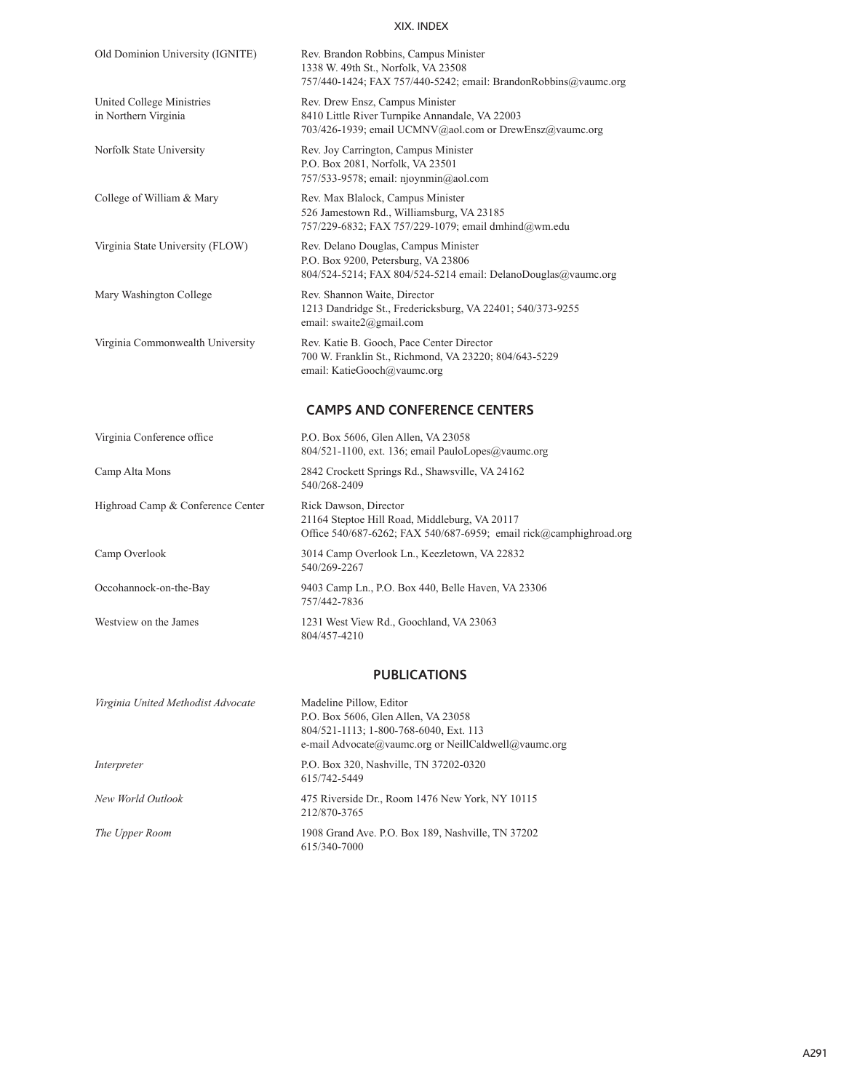| Old Dominion University (IGNITE)                  | Rev. Brandon Robbins, Campus Minister<br>1338 W. 49th St., Norfolk, VA 23508<br>757/440-1424; FAX 757/440-5242; email: BrandonRobbins@vaumc.org |
|---------------------------------------------------|-------------------------------------------------------------------------------------------------------------------------------------------------|
| United College Ministries<br>in Northern Virginia | Rev. Drew Ensz, Campus Minister<br>8410 Little River Turnpike Annandale, VA 22003<br>703/426-1939; email UCMNV@aol.com or DrewEnsz@vaumc.org    |
| Norfolk State University                          | Rev. Joy Carrington, Campus Minister<br>P.O. Box 2081, Norfolk, VA 23501<br>757/533-9578; email: njoynmin@aol.com                               |
| College of William & Mary                         | Rev. Max Blalock, Campus Minister<br>526 Jamestown Rd., Williamsburg, VA 23185<br>757/229-6832; FAX 757/229-1079; email dmhind@wm.edu           |
| Virginia State University (FLOW)                  | Rev. Delano Douglas, Campus Minister<br>P.O. Box 9200, Petersburg, VA 23806<br>804/524-5214; FAX 804/524-5214 email: DelanoDouglas@vaumc.org    |
| Mary Washington College                           | Rev. Shannon Waite, Director<br>1213 Dandridge St., Fredericksburg, VA 22401; 540/373-9255<br>email: swaite2@gmail.com                          |
| Virginia Commonwealth University                  | Rev. Katie B. Gooch, Pace Center Director<br>700 W. Franklin St., Richmond, VA 23220; 804/643-5229<br>email: KatieGooch@vaumc.org               |
|                                                   | <b>CAMPS AND CONFERENCE CENTERS</b>                                                                                                             |
| Virginia Conference office                        | P.O. Box 5606, Glen Allen, VA 23058<br>804/521-1100, ext. 136; email PauloLopes@vaumc.org                                                       |
| Camp Alta Mons                                    | 2842 Crockett Springs Rd., Shawsville, VA 24162<br>540/268-2409                                                                                 |
| Highroad Camp & Conference Center                 | Rick Dawson, Director<br>21164 Steptoe Hill Road, Middleburg, VA 20117<br>Office 540/687-6262; FAX 540/687-6959; email rick@camphighroad.org    |
| Camp Overlook                                     | 3014 Camp Overlook Ln., Keezletown, VA 22832<br>540/269-2267                                                                                    |
| Occohannock-on-the-Bay                            | 9403 Camp Ln., P.O. Box 440, Belle Haven, VA 23306<br>757/442-7836                                                                              |
| Westview on the James                             | 1231 West View Rd., Goochland, VA 23063<br>804/457-4210                                                                                         |

### **PUBLICATIONS**

| Virginia United Methodist Advocate | Madeline Pillow, Editor<br>P.O. Box 5606, Glen Allen, VA 23058<br>804/521-1113; 1-800-768-6040, Ext. 113<br>e-mail Advocate@vaumc.org or NeillCaldwell@vaumc.org |
|------------------------------------|------------------------------------------------------------------------------------------------------------------------------------------------------------------|
| Interpreter                        | P.O. Box 320, Nashville, TN 37202-0320<br>615/742-5449                                                                                                           |
| New World Outlook                  | 475 Riverside Dr., Room 1476 New York, NY 10115<br>212/870-3765                                                                                                  |
| The Upper Room                     | 1908 Grand Ave. P.O. Box 189, Nashville, TN 37202<br>615/340-7000                                                                                                |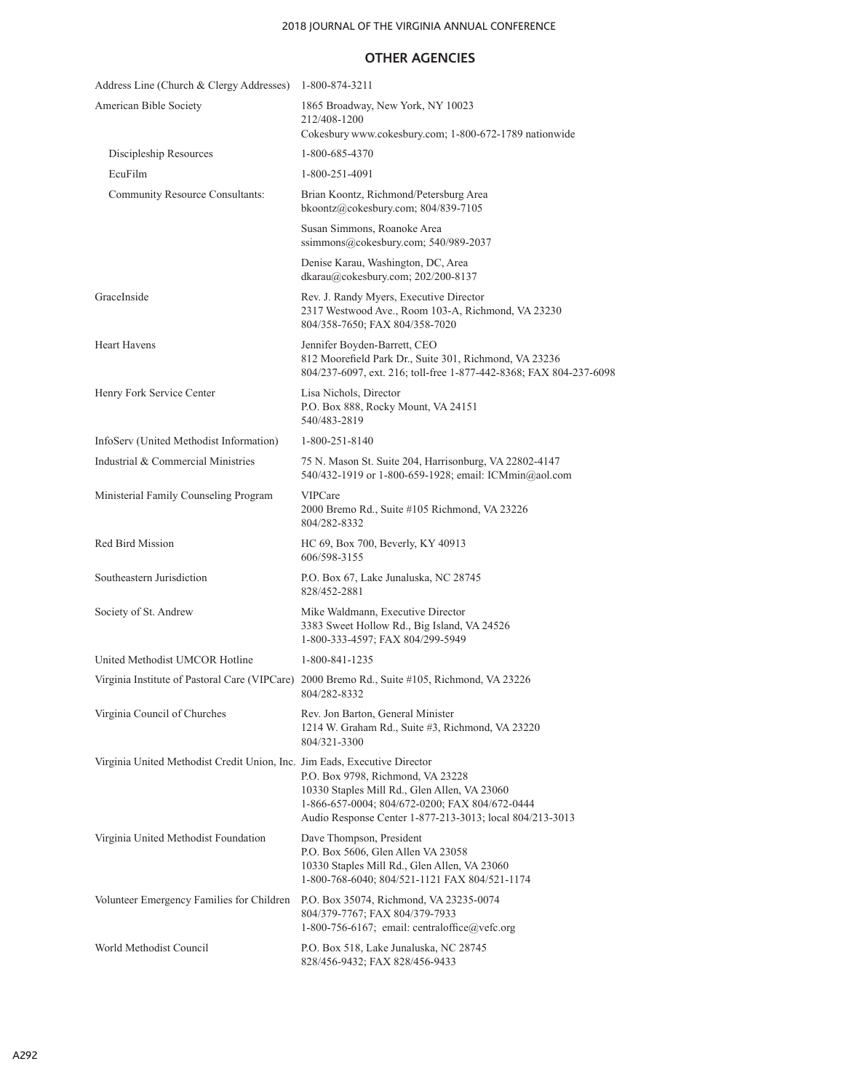### 2018 JOURNAL OF THE VIRGINIA ANNUAL CONFERENCE

### **OTHER AGENCIES**

| Address Line (Church & Clergy Addresses)                                  | 1-800-874-3211                                                                                                                                                                                  |
|---------------------------------------------------------------------------|-------------------------------------------------------------------------------------------------------------------------------------------------------------------------------------------------|
| American Bible Society                                                    | 1865 Broadway, New York, NY 10023<br>212/408-1200<br>Cokesbury www.cokesbury.com; 1-800-672-1789 nationwide                                                                                     |
| Discipleship Resources                                                    | 1-800-685-4370                                                                                                                                                                                  |
| EcuFilm                                                                   | 1-800-251-4091                                                                                                                                                                                  |
| Community Resource Consultants:                                           | Brian Koontz, Richmond/Petersburg Area<br>bkoontz@cokesbury.com; 804/839-7105                                                                                                                   |
|                                                                           | Susan Simmons, Roanoke Area<br>ssimmons@cokesbury.com; 540/989-2037                                                                                                                             |
|                                                                           | Denise Karau, Washington, DC, Area<br>dkarau@cokesbury.com; 202/200-8137                                                                                                                        |
| GraceInside                                                               | Rev. J. Randy Myers, Executive Director<br>2317 Westwood Ave., Room 103-A, Richmond, VA 23230<br>804/358-7650; FAX 804/358-7020                                                                 |
| <b>Heart Havens</b>                                                       | Jennifer Boyden-Barrett, CEO<br>812 Moorefield Park Dr., Suite 301, Richmond, VA 23236<br>804/237-6097, ext. 216; toll-free 1-877-442-8368; FAX 804-237-6098                                    |
| Henry Fork Service Center                                                 | Lisa Nichols, Director<br>P.O. Box 888, Rocky Mount, VA 24151<br>540/483-2819                                                                                                                   |
| InfoServ (United Methodist Information)                                   | 1-800-251-8140                                                                                                                                                                                  |
| Industrial & Commercial Ministries                                        | 75 N. Mason St. Suite 204, Harrisonburg, VA 22802-4147<br>540/432-1919 or 1-800-659-1928; email: ICMmin@aol.com                                                                                 |
| Ministerial Family Counseling Program                                     | <b>VIPCare</b><br>2000 Bremo Rd., Suite #105 Richmond, VA 23226<br>804/282-8332                                                                                                                 |
| Red Bird Mission                                                          | HC 69, Box 700, Beverly, KY 40913<br>606/598-3155                                                                                                                                               |
| Southeastern Jurisdiction                                                 | P.O. Box 67, Lake Junaluska, NC 28745<br>828/452-2881                                                                                                                                           |
| Society of St. Andrew                                                     | Mike Waldmann, Executive Director<br>3383 Sweet Hollow Rd., Big Island, VA 24526<br>1-800-333-4597; FAX 804/299-5949                                                                            |
| United Methodist UMCOR Hotline                                            | 1-800-841-1235                                                                                                                                                                                  |
| Virginia Institute of Pastoral Care (VIPCare)                             | 2000 Bremo Rd., Suite #105, Richmond, VA 23226<br>804/282-8332                                                                                                                                  |
| Virginia Council of Churches                                              | Rev. Jon Barton, General Minister<br>1214 W. Graham Rd., Suite #3, Richmond, VA 23220<br>804/321-3300                                                                                           |
| Virginia United Methodist Credit Union, Inc. Jim Eads, Executive Director | P.O. Box 9798, Richmond, VA 23228<br>10330 Staples Mill Rd., Glen Allen, VA 23060<br>1-866-657-0004; 804/672-0200; FAX 804/672-0444<br>Audio Response Center 1-877-213-3013; local 804/213-3013 |
| Virginia United Methodist Foundation                                      | Dave Thompson, President<br>P.O. Box 5606, Glen Allen VA 23058<br>10330 Staples Mill Rd., Glen Allen, VA 23060<br>1-800-768-6040; 804/521-1121 FAX 804/521-1174                                 |
| Volunteer Emergency Families for Children                                 | P.O. Box 35074, Richmond, VA 23235-0074<br>804/379-7767; FAX 804/379-7933<br>1-800-756-6167; email: centraloffice@vefc.org                                                                      |
| World Methodist Council                                                   | P.O. Box 518, Lake Junaluska, NC 28745<br>828/456-9432; FAX 828/456-9433                                                                                                                        |